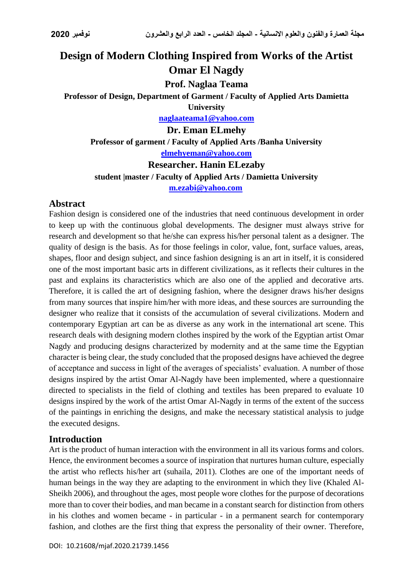# **Design of Modern Clothing Inspired from Works of the Artist Omar El Nagdy**

**Prof. Naglaa Teama**

**Professor of Design, Department of Garment / Faculty of Applied Arts Damietta** 

**University**

**[naglaateama1@yahoo.com](mailto:naglaateama1@yahoo.com)**

**Dr. Eman ELmehy Professor of garment / Faculty of Applied Arts /Banha University [elmehyeman@yahoo.com](mailto:elmehyeman@yahoo.com) Researcher. Hanin ELezaby student |master / Faculty of Applied Arts / Damietta University**

**[m.ezabi@yahoo.com](mailto:m.ezabi@yahoo.com)**

#### **Abstract**

Fashion design is considered one of the industries that need continuous development in order to keep up with the continuous global developments. The designer must always strive for research and development so that he/she can express his/her personal talent as a designer. The quality of design is the basis. As for those feelings in color, value, font, surface values, areas, shapes, floor and design subject, and since fashion designing is an art in itself, it is considered one of the most important basic arts in different civilizations, as it reflects their cultures in the past and explains its characteristics which are also one of the applied and decorative arts. Therefore, it is called the art of designing fashion, where the designer draws his/her designs from many sources that inspire him/her with more ideas, and these sources are surrounding the designer who realize that it consists of the accumulation of several civilizations. Modern and contemporary Egyptian art can be as diverse as any work in the international art scene. This research deals with designing modern clothes inspired by the work of the Egyptian artist Omar Nagdy and producing designs characterized by modernity and at the same time the Egyptian character is being clear, the study concluded that the proposed designs have achieved the degree of acceptance and success in light of the averages of specialists' evaluation. A number of those designs inspired by the artist Omar Al-Nagdy have been implemented, where a questionnaire directed to specialists in the field of clothing and textiles has been prepared to evaluate 10 designs inspired by the work of the artist Omar Al-Nagdy in terms of the extent of the success of the paintings in enriching the designs, and make the necessary statistical analysis to judge the executed designs.

#### **Introduction**

Art is the product of human interaction with the environment in all its various forms and colors. Hence, the environment becomes a source of inspiration that nurtures human culture, especially the artist who reflects his/her art (suhaila, 2011). Clothes are one of the important needs of human beings in the way they are adapting to the environment in which they live (Khaled Al-Sheikh 2006), and throughout the ages, most people wore clothes for the purpose of decorations more than to cover their bodies, and man became in a constant search for distinction from others in his clothes and women became - in particular - in a permanent search for contemporary fashion, and clothes are the first thing that express the personality of their owner. Therefore,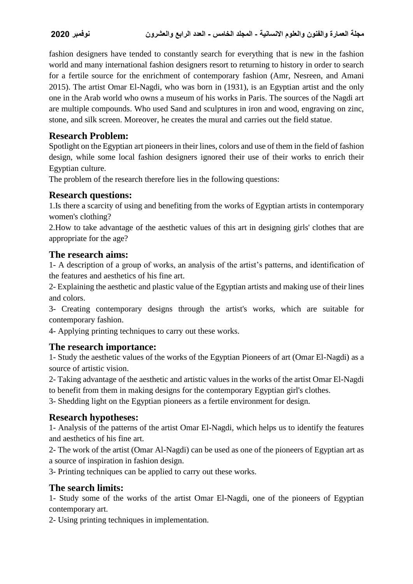fashion designers have tended to constantly search for everything that is new in the fashion world and many international fashion designers resort to returning to history in order to search for a fertile source for the enrichment of contemporary fashion (Amr, Nesreen, and Amani 2015). The artist Omar El-Nagdi, who was born in (1931), is an Egyptian artist and the only one in the Arab world who owns a museum of his works in Paris. The sources of the Nagdi art are multiple compounds. Who used Sand and sculptures in iron and wood, engraving on zinc, stone, and silk screen. Moreover, he creates the mural and carries out the field statue.

#### **Research Problem:**

Spotlight on the Egyptian art pioneers in their lines, colors and use of them in the field of fashion design, while some local fashion designers ignored their use of their works to enrich their Egyptian culture.

The problem of the research therefore lies in the following questions:

#### **Research questions:**

1.Is there a scarcity of using and benefiting from the works of Egyptian artists in contemporary women's clothing?

2.How to take advantage of the aesthetic values of this art in designing girls' clothes that are appropriate for the age?

#### **The research aims:**

1- A description of a group of works, an analysis of the artist's patterns, and identification of the features and aesthetics of his fine art.

2- Explaining the aesthetic and plastic value of the Egyptian artists and making use of their lines and colors.

3- Creating contemporary designs through the artist's works, which are suitable for contemporary fashion.

4- Applying printing techniques to carry out these works.

### **The research importance:**

1- Study the aesthetic values of the works of the Egyptian Pioneers of art (Omar El-Nagdi) as a source of artistic vision.

2- Taking advantage of the aesthetic and artistic values in the works of the artist Omar El-Nagdi

to benefit from them in making designs for the contemporary Egyptian girl's clothes.

3- Shedding light on the Egyptian pioneers as a fertile environment for design.

### **Research hypotheses:**

1- Analysis of the patterns of the artist Omar El-Nagdi, which helps us to identify the features and aesthetics of his fine art.

2- The work of the artist (Omar Al-Nagdi) can be used as one of the pioneers of Egyptian art as a source of inspiration in fashion design.

3- Printing techniques can be applied to carry out these works.

#### **The search limits:**

1- Study some of the works of the artist Omar El-Nagdi, one of the pioneers of Egyptian contemporary art.

2- Using printing techniques in implementation.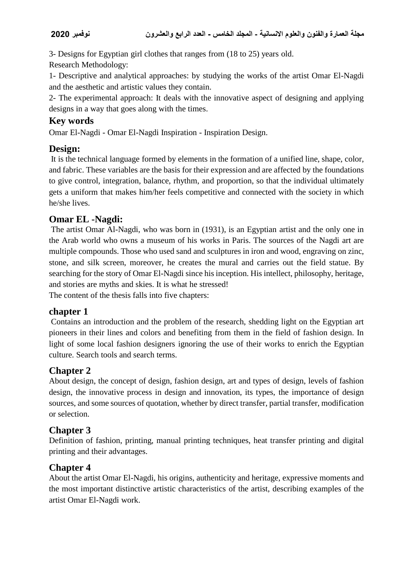3- Designs for Egyptian girl clothes that ranges from (18 to 25) years old.

Research Methodology:

1- Descriptive and analytical approaches: by studying the works of the artist Omar El-Nagdi and the aesthetic and artistic values they contain.

2- The experimental approach: It deals with the innovative aspect of designing and applying designs in a way that goes along with the times.

#### **Key words**

Omar El-Nagdi - Omar El-Nagdi Inspiration - Inspiration Design.

#### **Design:**

It is the technical language formed by elements in the formation of a unified line, shape, color, and fabric. These variables are the basis for their expression and are affected by the foundations to give control, integration, balance, rhythm, and proportion, so that the individual ultimately gets a uniform that makes him/her feels competitive and connected with the society in which he/she lives.

#### **Omar EL -Nagdi:**

The artist Omar Al-Nagdi, who was born in (1931), is an Egyptian artist and the only one in the Arab world who owns a museum of his works in Paris. The sources of the Nagdi art are multiple compounds. Those who used sand and sculptures in iron and wood, engraving on zinc, stone, and silk screen, moreover, he creates the mural and carries out the field statue. By searching for the story of Omar El-Nagdi since his inception. His intellect, philosophy, heritage, and stories are myths and skies. It is what he stressed!

The content of the thesis falls into five chapters:

### **chapter 1**

Contains an introduction and the problem of the research, shedding light on the Egyptian art pioneers in their lines and colors and benefiting from them in the field of fashion design. In light of some local fashion designers ignoring the use of their works to enrich the Egyptian culture. Search tools and search terms.

### **Chapter 2**

About design, the concept of design, fashion design, art and types of design, levels of fashion design, the innovative process in design and innovation, its types, the importance of design sources, and some sources of quotation, whether by direct transfer, partial transfer, modification or selection.

#### **Chapter 3**

Definition of fashion, printing, manual printing techniques, heat transfer printing and digital printing and their advantages.

### **Chapter 4**

About the artist Omar El-Nagdi, his origins, authenticity and heritage, expressive moments and the most important distinctive artistic characteristics of the artist, describing examples of the artist Omar El-Nagdi work.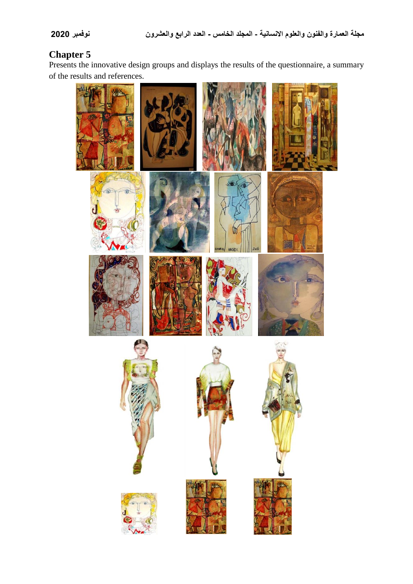## **Chapter 5**

Presents the innovative design groups and displays the results of the questionnaire, a summary of the results and references.

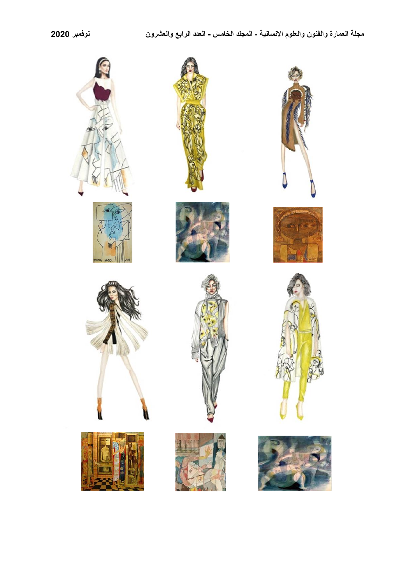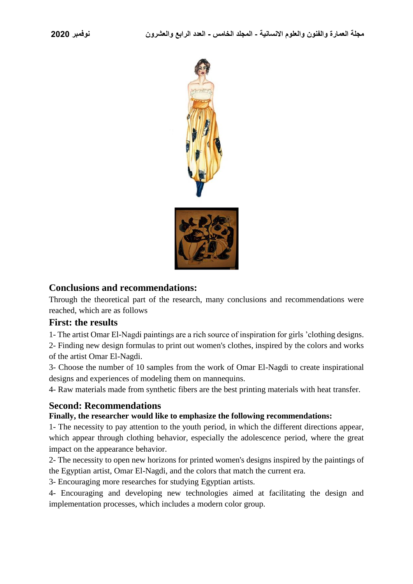

#### **Conclusions and recommendations:**

Through the theoretical part of the research, many conclusions and recommendations were reached, which are as follows

#### **First: the results**

1- The artist Omar El-Nagdi paintings are a rich source of inspiration for girls 'clothing designs.

2- Finding new design formulas to print out women's clothes, inspired by the colors and works of the artist Omar El-Nagdi.

3- Choose the number of 10 samples from the work of Omar El-Nagdi to create inspirational designs and experiences of modeling them on mannequins.

4- Raw materials made from synthetic fibers are the best printing materials with heat transfer.

#### **Second: Recommendations**

#### **Finally, the researcher would like to emphasize the following recommendations:**

1- The necessity to pay attention to the youth period, in which the different directions appear, which appear through clothing behavior, especially the adolescence period, where the great impact on the appearance behavior.

2- The necessity to open new horizons for printed women's designs inspired by the paintings of the Egyptian artist, Omar El-Nagdi, and the colors that match the current era.

3- Encouraging more researches for studying Egyptian artists.

4- Encouraging and developing new technologies aimed at facilitating the design and implementation processes, which includes a modern color group.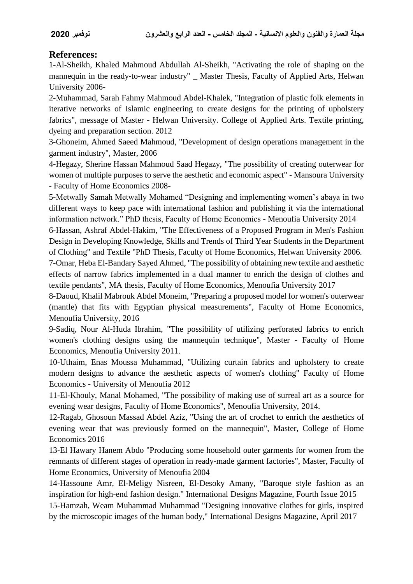#### **References:**

1-Al-Sheikh, Khaled Mahmoud Abdullah Al-Sheikh, "Activating the role of shaping on the mannequin in the ready-to-wear industry" Master Thesis, Faculty of Applied Arts, Helwan University 2006-

2-Muhammad, Sarah Fahmy Mahmoud Abdel-Khalek, "Integration of plastic folk elements in iterative networks of Islamic engineering to create designs for the printing of upholstery fabrics", message of Master - Helwan University. College of Applied Arts. Textile printing, dyeing and preparation section. 2012

3-Ghoneim, Ahmed Saeed Mahmoud, "Development of design operations management in the garment industry", Master, 2006

4-Hegazy, Sherine Hassan Mahmoud Saad Hegazy, "The possibility of creating outerwear for women of multiple purposes to serve the aesthetic and economic aspect" - Mansoura University - Faculty of Home Economics 2008-

5-Metwally Samah Metwally Mohamed "Designing and implementing women's abaya in two different ways to keep pace with international fashion and publishing it via the international information network." PhD thesis, Faculty of Home Economics - Menoufia University 2014

6-Hassan, Ashraf Abdel-Hakim, "The Effectiveness of a Proposed Program in Men's Fashion Design in Developing Knowledge, Skills and Trends of Third Year Students in the Department of Clothing" and Textile "PhD Thesis, Faculty of Home Economics, Helwan University 2006.

7-Omar, Heba El-Bandary Sayed Ahmed, "The possibility of obtaining new textile and aesthetic effects of narrow fabrics implemented in a dual manner to enrich the design of clothes and textile pendants", MA thesis, Faculty of Home Economics, Menoufia University 2017

8-Daoud, Khalil Mabrouk Abdel Moneim, "Preparing a proposed model for women's outerwear (mantle) that fits with Egyptian physical measurements", Faculty of Home Economics, Menoufia University, 2016

9-Sadiq, Nour Al-Huda Ibrahim, "The possibility of utilizing perforated fabrics to enrich women's clothing designs using the mannequin technique", Master - Faculty of Home Economics, Menoufia University 2011.

10-Uthaim, Enas Moussa Muhammad, "Utilizing curtain fabrics and upholstery to create modern designs to advance the aesthetic aspects of women's clothing" Faculty of Home Economics - University of Menoufia 2012

11-El-Khouly, Manal Mohamed, "The possibility of making use of surreal art as a source for evening wear designs, Faculty of Home Economics", Menoufia University, 2014.

12-Ragab, Ghosoun Massad Abdel Aziz, "Using the art of crochet to enrich the aesthetics of evening wear that was previously formed on the mannequin", Master, College of Home Economics 2016

13-El Hawary Hanem Abdo "Producing some household outer garments for women from the remnants of different stages of operation in ready-made garment factories", Master, Faculty of Home Economics, University of Menoufia 2004

14-Hassoune Amr, El-Meligy Nisreen, El-Desoky Amany, "Baroque style fashion as an inspiration for high-end fashion design." International Designs Magazine, Fourth Issue 2015 15-Hamzah, Weam Muhammad Muhammad "Designing innovative clothes for girls, inspired by the microscopic images of the human body," International Designs Magazine, April 2017